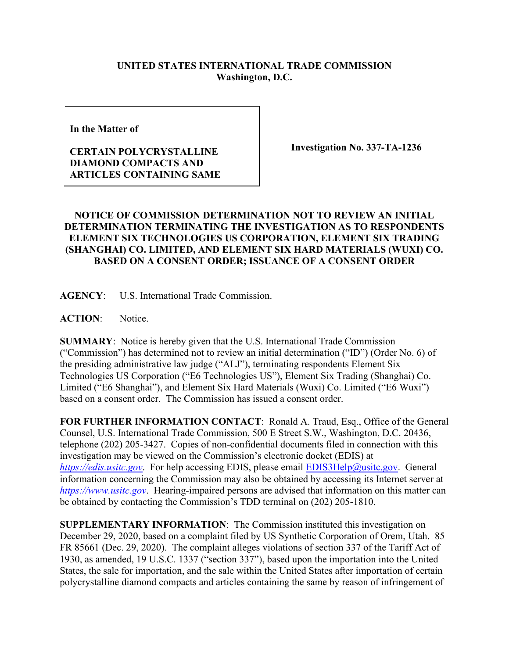## **UNITED STATES INTERNATIONAL TRADE COMMISSION Washington, D.C.**

**In the Matter of** 

## **CERTAIN POLYCRYSTALLINE DIAMOND COMPACTS AND ARTICLES CONTAINING SAME**

**Investigation No. 337-TA-1236**

## **NOTICE OF COMMISSION DETERMINATION NOT TO REVIEW AN INITIAL DETERMINATION TERMINATING THE INVESTIGATION AS TO RESPONDENTS ELEMENT SIX TECHNOLOGIES US CORPORATION, ELEMENT SIX TRADING (SHANGHAI) CO. LIMITED, AND ELEMENT SIX HARD MATERIALS (WUXI) CO. BASED ON A CONSENT ORDER; ISSUANCE OF A CONSENT ORDER**

**AGENCY**: U.S. International Trade Commission.

**ACTION**: Notice.

**SUMMARY**: Notice is hereby given that the U.S. International Trade Commission ("Commission") has determined not to review an initial determination ("ID") (Order No. 6) of the presiding administrative law judge ("ALJ"), terminating respondents Element Six Technologies US Corporation ("E6 Technologies US"), Element Six Trading (Shanghai) Co. Limited ("E6 Shanghai"), and Element Six Hard Materials (Wuxi) Co. Limited ("E6 Wuxi") based on a consent order. The Commission has issued a consent order.

**FOR FURTHER INFORMATION CONTACT**: Ronald A. Traud, Esq., Office of the General Counsel, U.S. International Trade Commission, 500 E Street S.W., Washington, D.C. 20436, telephone (202) 205-3427. Copies of non-confidential documents filed in connection with this investigation may be viewed on the Commission's electronic docket (EDIS) at *[https://edis.usitc.gov](https://edis.usitc.gov/).* For help accessing EDIS, please email [EDIS3Help@usitc.gov.](mailto:EDIS3Help@usitc.gov) General information concerning the Commission may also be obtained by accessing its Internet server at *[https://www.usitc.gov](https://www.usitc.gov/)*. Hearing-impaired persons are advised that information on this matter can be obtained by contacting the Commission's TDD terminal on (202) 205-1810.

**SUPPLEMENTARY INFORMATION**: The Commission instituted this investigation on December 29, 2020, based on a complaint filed by US Synthetic Corporation of Orem, Utah. 85 FR 85661 (Dec. 29, 2020). The complaint alleges violations of section 337 of the Tariff Act of 1930, as amended, 19 U.S.C. 1337 ("section 337"), based upon the importation into the United States, the sale for importation, and the sale within the United States after importation of certain polycrystalline diamond compacts and articles containing the same by reason of infringement of